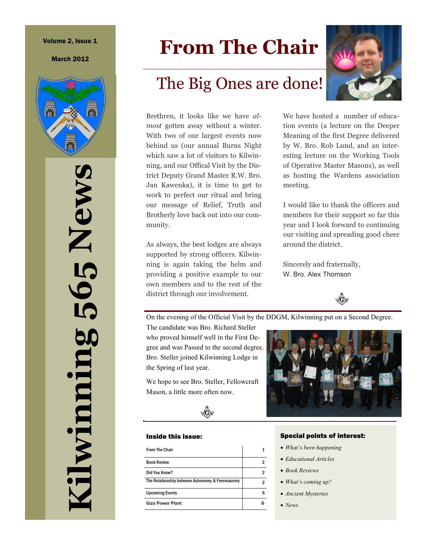#### Volume 2, Issue 1

March 2012



**Kilwinning 565 News**  565 News diwinning

# **From The Chair**

# The Big Ones are done!

Brethren, it looks like we have *almost* gotten away without a winter. With two of our largest events now behind us (our annual Burns Night which saw a lot of visitors to Kilwinning, and our Offical Visit by the District Deputy Grand Master R.W. Bro. Jan Kawenka), it is time to get to work to perfect our ritual and bring our message of Relief, Truth and Brotherly love back out into our community.

As always, the best lodges are always supported by strong officers. Kilwinning is again taking the helm and providing a positive example to our own members and to the rest of the district through our involvement.

We have hosted a number of education events (a lecture on the Deeper Meaning of the first Degree delivered by W. Bro. Rob Lund, and an interesting lecture on the Working Tools of Operative Master Masons), as well as hosting the Wardens association

I would like to thank the officers and members for their support so far this year and I look forward to continuing our visiting and spreading good cheer around the district.

Sincerely and fraternally, W. Bro. Alex Thomson

meeting.



On the evening of the Official Visit by the DDGM, Kilwinning put on a Second Degree.

The candidate was Bro. Richard Steller who proved himself well in the First Degree and was Passed to the second degree. Bro. Steller joined Kilwinning Lodge in the Spring of last year.

We hope to see Bro. Steller, Fellowcraft Mason, a little more often now.



#### Inside this issue:

| 2 |
|---|
| 2 |
|   |
| հ |
|   |
|   |



#### Special points of interest:

- *What's been happening*
- *Educational Articles*
- *Book Reviews*
- *What's coming up?*
- *Ancient Mysteries*
- *News*

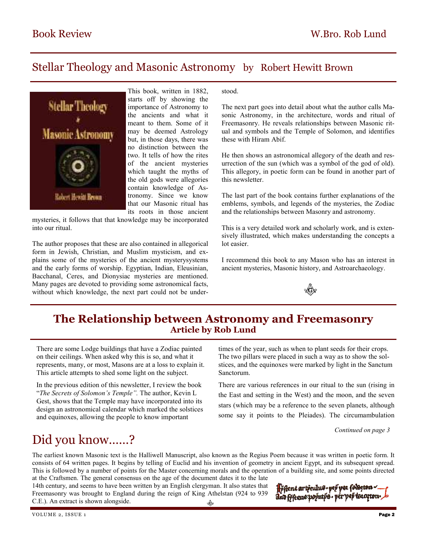### Stellar Theology and Masonic Astronomy by Robert Hewitt Brown



This book, written in 1882, starts off by showing the importance of Astronomy to the ancients and what it meant to them. Some of it may be deemed Astrology but, in those days, there was no distinction between the two. It tells of how the rites of the ancient mysteries which taught the myths of the old gods were allegories contain knowledge of Astronomy. Since we know that our Masonic ritual has its roots in those ancient

mysteries, it follows that that knowledge may be incorporated into our ritual.

The author proposes that these are also contained in allegorical form in Jewish, Christian, and Muslim mysticism, and explains some of the mysteries of the ancient mysterysystems and the early forms of worship. Egyptian, Indian, Eleusinian, Bacchanal, Ceres, and Dionysiac mysteries are mentioned. Many pages are devoted to providing some astronomical facts, without which knowledge, the next part could not be under-

#### stood.

The next part goes into detail about what the author calls Masonic Astronomy, in the architecture, words and ritual of Freemasonry. He reveals relationships between Masonic ritual and symbols and the Temple of Solomon, and identifies these with Hiram Abif.

He then shows an astronomical allegory of the death and resurrection of the sun (which was a symbol of the god of old). This allegory, in poetic form can be found in another part of this newsletter.

The last part of the book contains further explanations of the emblems, symbols, and legends of the mysteries, the Zodiac and the relationships between Masonry and astronomy.

This is a very detailed work and scholarly work, and is extensively illustrated, which makes understanding the concepts a lot easier.

I recommend this book to any Mason who has an interest in ancient mysteries, Masonic history, and Astroarchaeology.



### **The Relationship between Astronomy and Freemasonry Article by Rob Lund**

There are some Lodge buildings that have a Zodiac painted on their ceilings. When asked why this is so, and what it represents, many, or most, Masons are at a loss to explain it. This article attempts to shed some light on the subject.

In the previous edition of this newsletter, I review the book "*The Secrets of Solomon's Temple".* The author, Kevin L Gest, shows that the Temple may have incorporated into its design an astronomical calendar which marked the solstices and equinoxes, allowing the people to know important

times of the year, such as when to plant seeds for their crops. The two pillars were placed in such a way as to show the solstices, and the equinoxes were marked by light in the Sanctum Sanctorum.

There are various references in our ritual to the sun (rising in the East and setting in the West) and the moon, and the seven stars (which may be a reference to the seven planets, although some say it points to the Pleiades). The circumambulation

*Continued on page 3* 

# Did you know……?

The earliest known Masonic text is the Halliwell Manuscript, also known as the Regius Poem because it was written in poetic form. It consists of 64 written pages. It begins by telling of Euclid and his invention of geometry in ancient Egypt, and its subsequent spread. This is followed by a number of points for the Master concerning morals and the operation of a building site, and some points directed at the Craftsmen. The general consensus on the age of the document dates it to the late

14th century, and seems to have been written by an English clergyman. It also states that Freemasonry was brought to England during the reign of King Athelstan (924 to 939 C.E.). An extract is shown alongside. 

Hřhené artřeulus-yeř **ye**z fod And frieene poputps - pér pep \\3107ton - b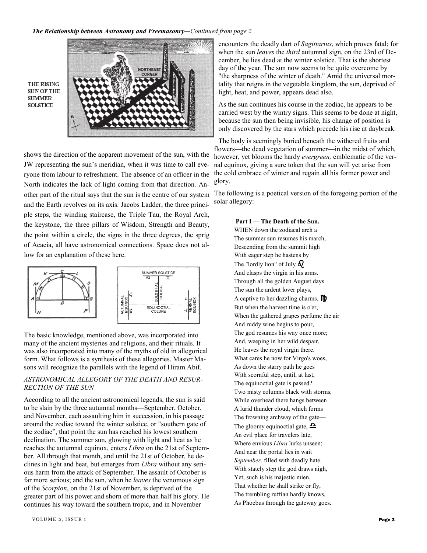

THE RISING **SUN OF THE SUMMER SOLSTICE** 

shows the direction of the apparent movement of the sun, with the JW representing the sun's meridian, when it was time to call everyone from labour to refreshment. The absence of an officer in the North indicates the lack of light coming from that direction. Another part of the ritual says that the sun is the centre of our system and the Earth revolves on its axis. Jacobs Ladder, the three principle steps, the winding staircase, the Triple Tau, the Royal Arch, the keystone, the three pillars of Wisdom, Strength and Beauty, the point within a circle, the signs in the three degrees, the sprig of Acacia, all have astronomical connections. Space does not allow for an explanation of these here.



The basic knowledge, mentioned above, was incorporated into many of the ancient mysteries and religions, and their rituals. It was also incorporated into many of the myths of old in allegorical form. What follows is a synthesis of these allegories. Master Masons will recognize the parallels with the legend of Hiram Abif.

#### *ASTRONOMICAL ALLEGORY OF THE DEATH AND RESUR-RECTION OF THE SUN*

According to all the ancient astronomical legends, the sun is said to be slain by the three autumnal months—September, October, and November, each assaulting him in succession, in his passage around the zodiac toward the winter solstice, or "southern gate of the zodiac", that point the sun has reached his lowest southern declination. The summer sun, glowing with light and heat as he reaches the autumnal equinox, enters *Libra* on the 21st of September. All through that month, and until the 21st of October, he declines in light and heat, but emerges from *Libra* without any serious harm from the attack of September. The assault of October is far more serious; and the sun, when he *leaves* the venomous sign of the *Scorpion*, on the 21st of November, is deprived of the greater part of his power and shorn of more than half his glory. He continues his way toward the southern tropic, and in November

encounters the deadly dart of *Sagittarius*, which proves fatal; for when the sun *leaves* the *third* autumnal sign, on the 23rd of December, he lies dead at the winter solstice. That is the shortest day of the year. The sun now seems to be quite overcome by "the sharpness of the winter of death." Amid the universal mortality that reigns in the vegetable kingdom, the sun, deprived of light, heat, and power, appears dead also.

As the sun continues his course in the zodiac, he appears to be carried west by the wintry signs. This seems to be done at night, because the sun then being invisible, his change of position is only discovered by the stars which precede his rise at daybreak.

The body is seemingly buried beneath the withered fruits and flowers—the dead vegetation of summer—in the midst of which, however, yet blooms the hardy *evergreen,* emblematic of the vernal equinox, giving a sure token that the sun will yet arise from the cold embrace of winter and regain all his former power and glory.

The following is a poetical version of the foregoing portion of the solar allegory:

> **Part I — The Death of the Sun.**  WHEN down the zodiacal arch a The summer sun resumes his march, Descending from the summit high With eager step he hastens by The "lordly lion" of July  $\delta$ And clasps the virgin in his arms. Through all the golden August days The sun the ardent lover plays, A captive to her dazzling charms.  $\mathbf{m}$ But when the harvest time is o'er, When the gathered grapes perfume the air And ruddy wine begins to pour, The god resumes his way once more; And, weeping in her wild despair, He leaves the royal virgin there. What cares he now for Virgo's woes, As down the starry path he goes With scornful step, until, at last, The equinoctial gate is passed? Two misty columns black with storms, While overhead there hangs between A lurid thunder cloud, which forms The frowning archway of the gate— The gloomy equinoctial gate,  $\Delta$ An evil place for travelers late, Where envious *Libra* lurks unseen; And near the portal lies in wait *September,* filled with deadly hate. With stately step the god draws nigh, Yet, such is his majestic mien, That whether he shall strike or fly, The trembling ruffian hardly knows, As Phoebus through the gateway goes.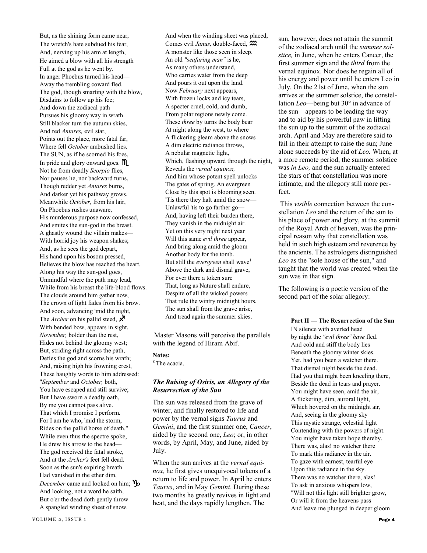But, as the shining form came near, The wretch's hate subdued his fear, And, nerving up his arm at length, He aimed a blow with all his strength Full at the god as he went by. In anger Phoebus turned his head— Away the trembling coward fled. The god, though smarting with the blow, Disdains to follow up his foe; And down the zodiacal path Pursues his gloomy way in wrath. Still blacker turn the autumn skies, And red *Antares,* evil star, Points out the place, more fatal far, Where fell *October* ambushed lies. The SUN, as if he scorned his foes, In pride and glory onward goes. **M** Not he from deadly *Scorpio* flies, Nor pauses he, nor backward turns, Though redder yet *Antares* burns, And darker yet his pathway grows. Meanwhile *October,* from his lair, On Phoebus rushes unaware, His murderous purpose now confessed, And smites the sun-god in the breast. A ghastly wound the villain makes— With horrid joy his weapon shakes; And, as he sees the god depart, His hand upon his bosom pressed, Believes the blow has reached the heart. Along his way the sun-god goes, Unmindful where the path may lead, While from his breast the life-blood flows. The clouds around him gather now, The crown of light fades from his brow. And soon, advancing 'mid the night, The *Archer* on his pallid steed,  $\chi$ With bended bow, appears in sight. *November,* bolder than the rest, Hides not behind the gloomy west; But, striding right across the path, Defies the god and scorns his wrath; And, raising high his frowning crest, These haughty words to him addressed: "*September* and *October,* both, You have escaped and still survive; But I have sworn a deadly oath, By me you cannot pass alive. That which I promise I perform. For I am he who, 'mid the storm, Rides on the pallid horse of death." While even thus the spectre spoke, He drew his arrow to the head— The god received the fatal stroke, And at the *Archer's* feet fell dead. Soon as the sun's expiring breath Had vanished in the ether dim, *December* came and looked on him;  $v_{\text{D}}$ And looking, not a word he saith, But o'er the dead doth gently throw A spangled winding sheet of snow.

And when the winding sheet was placed, Comes evil *Janus,* double-faced, A monster like those seen in sleep. An old *"seafaring man"* is he, As many others understand, Who carries water from the deep And pours it out upon the land. Now *February* next appears, With frozen locks and icy tears, A specter cruel, cold, and dumb, From polar regions newly come. These *three* by turns the body bear At night along the west, to where A flickering gleam above the snows A dim electric radiance throws, A nebular magnetic light, Which, flashing upward through the night, Reveals the *vernal equinox,*  And him whose potent spell unlocks The gates of spring. An evergreen Close by this spot is blooming seen. 'Tis there they halt amid the snow— Unlawful 'tis to go farther go— And, having left their burden there, They vanish in the midnight air. Yet on this very night next year Will this same *evil three* appear, And bring along amid the gloom Another body for the tomb. But still the *evergreen* shall wave<sup>1</sup> Above the dark and dismal grave, For ever there a token sure That, long as Nature shall endure, Despite of all the wicked powers That rule the wintry midnight hours, The sun shall from the grave arise, And tread again the summer skies.

Master Masons will perceive the parallels with the legend of Hiram Abif.

#### **Notes:**

<sup>8</sup> The acacia.

#### *The Raising of Osiris, an Allegory of the Resurrection of the Sun*

The sun was released from the grave of winter, and finally restored to life and power by the vernal signs *Taurus* and *Gemini*, and the first summer one, *Cancer*, aided by the second one, *Leo*; or, in other words, by April, May, and June, aided by July.

When the sun arrives at the *vernal equinox,* he first gives unequivocal tokens of a return to life and power. In April he enters *Taurus*, and in May *Gemini*. During these two months he greatly revives in light and heat, and the days rapidly lengthen. The

sun, however, does not attain the summit of the zodiacal arch until the *summer solstice,* in June, when he enters Cancer, the first summer sign and the *third* from the vernal equinox. Nor does he regain all of his energy and power until he enters Leo in July. On the 21st of June, when the sun arrives at the summer solstice, the constellation *Leo*—being but 30° in advance of the sun—appears to be leading the way and to aid by his powerful paw in lifting the sun up to the summit of the zodiacal arch. April and May are therefore said to fail in their attempt to raise the sun; June alone succeeds by the aid of *Leo.* When, at a more remote period, the summer solstice was *in Leo,* and the sun actually entered the stars of that constellation was more intimate, and the allegory still more perfect.

This *visible* connection between the constellation *Leo* and the return of the sun to his place of power and glory, at the summit of the Royal Arch of heaven, was the principal reason why that constellation was held in such high esteem and reverence by the ancients. The astrologers distinguished *Leo* as the "sole house of the sun," and taught that the world was created when the sun was in that sign.

The following is a poetic version of the second part of the solar allegory:

#### **Part II — The Resurrection of the Sun**

IN silence with averted head by night the *"evil three" have* fled. And cold and stiff the body lies Beneath the gloomy winter skies. Yet, had you been a watcher there. That dismal night beside the dead. Had you that night been kneeling there, Beside the dead in tears and prayer. You might have seen, amid the air, A flickering, dim, auroral light, Which hovered on the midnight air, And, seeing in the gloomy sky This mystic strange, celestial light Contending with the powers of night. You might have taken hope thereby. There was, alas! no watcher there To mark this radiance in the air. To gaze with earnest, tearful eye Upon this radiance in the sky. There was no watcher there, alas! To ask in anxious whispers low, "Will not this light still brighter grow, Or will it from the heavens pass And leave me plunged in deeper gloom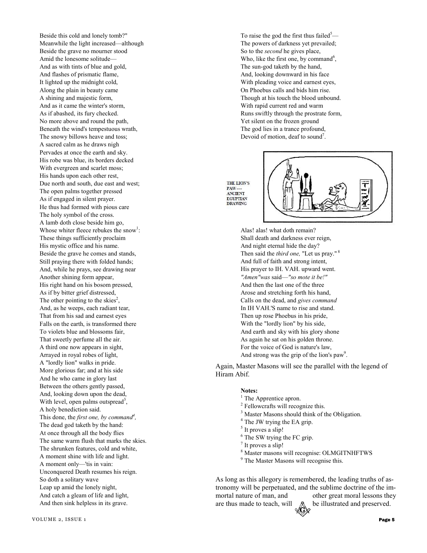Beside this cold and lonely tomb?" Meanwhile the light increased—although Beside the grave no mourner stood Amid the lonesome solitude— And as with tints of blue and gold, And flashes of prismatic flame, It lighted up the midnight cold, Along the plain in beauty came A shining and majestic form, And as it came the winter's storm, As if abashed, its fury checked. No more above and round the path, Beneath the wind's tempestuous wrath, The snowy billows heave and toss; A sacred calm as he draws nigh Pervades at once the earth and sky. His robe was blue, its borders decked With evergreen and scarlet moss; His hands upon each other rest, Due north and south, due east and west; The open palms together pressed As if engaged in silent prayer. He thus had formed with pious care The holy symbol of the cross. A lamb doth close beside him go, Whose whiter fleece rebukes the snow<sup>1</sup>: These things sufficiently proclaim His mystic office and his name. Beside the grave he comes and stands, Still praying there with folded hands; And, while he prays, see drawing near Another shining form appear, His right hand on his bosom pressed, As if by bitter grief distressed, The other pointing to the skies<sup>2</sup>, And, as he weeps, each radiant tear, That from his sad and earnest eyes Falls on the earth, is transformed there To violets blue and blossoms fair, That sweetly perfume all the air. A third one now appears in sight, Arrayed in royal robes of light, A "lordly lion" walks in pride. More glorious far; and at his side And he who came in glory last Between the others gently passed, And, looking down upon the dead, With level, open palms outspread<sup>3</sup>, A holy benediction said. This done, the *first one, by command<sup>4</sup> ,*  The dead god taketh by the hand: At once through all the body flies The same warm flush that marks the skies. The shrunken features, cold and white, A moment shine with life and light. A moment only—'tis in vain: Unconquered Death resumes his reign. So doth a solitary wave Leap up amid the lonely night, And catch a gleam of life and light, And then sink helpless in its grave.

To raise the god the first thus failed<sup>5</sup>— The powers of darkness yet prevailed; So to the *second* he gives place, Who, like the first one, by command<sup>6</sup>, The sun-god taketh by the hand, And, looking downward in his face With pleading voice and earnest eyes, On Phoebus calls and bids him rise. Though at his touch the blood unbound. With rapid current red and warm Runs swiftly through the prostrate form, Yet silent on the frozen ground The god lies in a trance profound, Devoid of motion, deaf to sound<sup>7</sup>.

**THE LION'S** PAW-<br>ANCIENT **FGVPTIAN** DRAWING



Alas! alas! what doth remain? Shall death and darkness ever reign, And night eternal hide the day? Then said the *third one*, "Let us pray."<sup>8</sup> And full of faith and strong intent, His prayer to IH. VAH. upward went. *"Amen"was* said—*"so mote it be!"*  And then the last one of the three Arose and stretching forth his hand, Calls on the dead, and *gives command*  In IH VAH.'S name to rise and stand. Then up rose Phoebus in his pride, With the "lordly lion" by his side, And earth and sky with his glory shone As again he sat on his golden throne. For the voice of God is nature's law, And strong was the grip of the lion's  $paw^9$ .

Again, Master Masons will see the parallel with the legend of Hiram Abif.

#### **Notes:**

- <sup>1</sup> The Apprentice apron.
- <sup>2</sup> Fellowcrafts will recognize this.
- <sup>3</sup> Master Masons should think of the Obligation.
- <sup>4</sup> The JW trying the EA grip.
- <sup>5</sup> It proves a slip!
- <sup>6</sup> The SW trying the FC grip.
- $<sup>7</sup>$  It proves a slip!</sup>
- 8 Master masons will recognise: OLMGITNHFTWS
- <sup>9</sup> The Master Masons will recognise this.

As long as this allegory is remembered, the leading truths of astronomy will be perpetuated, and the sublime doctrine of the immortal nature of man, and other great moral lessons they are thus made to teach, will  $\&$  be illustrated and preserved.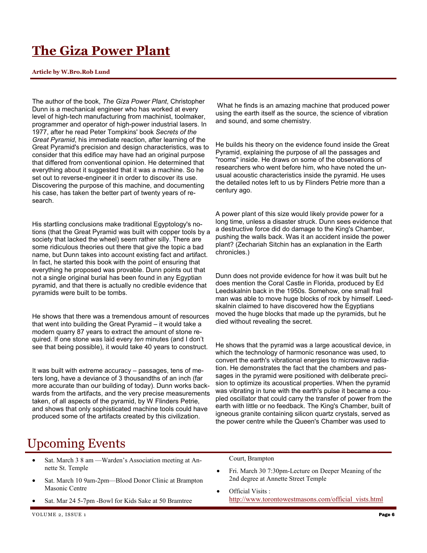## **The Giza Power Plant**

#### **Article by W.Bro.Rob Lund**

The author of the book, *The Giza Power Plant*, Christopher Dunn is a mechanical engineer who has worked at every level of high-tech manufacturing from machinist, toolmaker, programmer and operator of high-power industrial lasers. In 1977, after he read Peter Tompkins' book *Secrets of the Great Pyramid*, his immediate reaction, after learning of the Great Pyramid's precision and design characteristics, was to consider that this edifice may have had an original purpose that differed from conventional opinion. He determined that everything about it suggested that it was a machine. So he set out to reverse-engineer it in order to discover its use. Discovering the purpose of this machine, and documenting his case, has taken the better part of twenty years of research.

His startling conclusions make traditional Egyptology's notions (that the Great Pyramid was built with copper tools by a society that lacked the wheel) seem rather silly. There are some ridiculous theories out there that give the topic a bad name, but Dunn takes into account existing fact and artifact. In fact, he started this book with the point of ensuring that everything he proposed was provable. Dunn points out that not a single original burial has been found in any Egyptian pyramid, and that there is actually no credible evidence that pyramids were built to be tombs.

He shows that there was a tremendous amount of resources that went into building the Great Pyramid – it would take a modern quarry 87 years to extract the amount of stone required. If one stone was laid every *ten* minutes (and I don't see that being possible), it would take 40 years to construct.

It was built with extreme accuracy – passages, tens of meters long, have a deviance of 3 thousandths of an inch (far more accurate than our building of today). Dunn works backwards from the artifacts, and the very precise measurements taken, of all aspects of the pyramid, by W Flinders Petrie, and shows that only sophisticated machine tools could have produced some of the artifacts created by this civilization.

What he finds is an amazing machine that produced power using the earth itself as the source, the science of vibration and sound, and some chemistry.

He builds his theory on the evidence found inside the Great Pyramid, explaining the purpose of all the passages and "rooms" inside. He draws on some of the observations of researchers who went before him, who have noted the unusual acoustic characteristics inside the pyramid. He uses the detailed notes left to us by Flinders Petrie more than a century ago.

A power plant of this size would likely provide power for a long time, unless a disaster struck. Dunn sees evidence that a destructive force did do damage to the King's Chamber, pushing the walls back. Was it an accident inside the power plant? (Zechariah Sitchin has an explanation in the Earth chronicles.)

Dunn does not provide evidence for how it was built but he does mention the Coral Castle in Florida, produced by Ed Leedskalnin back in the 1950s. Somehow, one small frail man was able to move huge blocks of rock by himself. Leedskalnin claimed to have discovered how the Egyptians moved the huge blocks that made up the pyramids, but he died without revealing the secret.

He shows that the pyramid was a large acoustical device, in which the technology of harmonic resonance was used, to convert the earth's vibrational energies to microwave radiation. He demonstrates the fact that the chambers and passages in the pyramid were positioned with deliberate precision to optimize its acoustical properties. When the pyramid was vibrating in tune with the earth's pulse it became a coupled oscillator that could carry the transfer of power from the earth with little or no feedback. The King's Chamber, built of igneous granite containing silicon quartz crystals, served as the power centre while the Queen's Chamber was used to

### Upcoming Events

- Sat. March 3 8 am Warden's Association meeting at Annette St. Temple
- Sat. March 10 9am-2pm—Blood Donor Clinic at Brampton Masonic Centre
- Sat. Mar 24 5-7pm -Bowl for Kids Sake at 50 Bramtree

Court, Brampton

- Fri. March 30 7:30pm-Lecture on Deeper Meaning of the 2nd degree at Annette Street Temple
- Official Visits : http://www.torontowestmasons.com/official\_vists.html